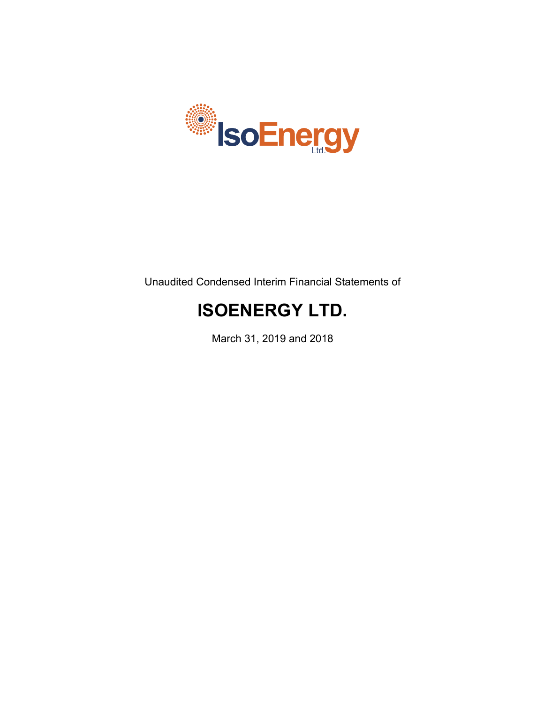

Unaudited Condensed Interim Financial Statements of

# **ISOENERGY LTD.**

March 31, 2019 and 2018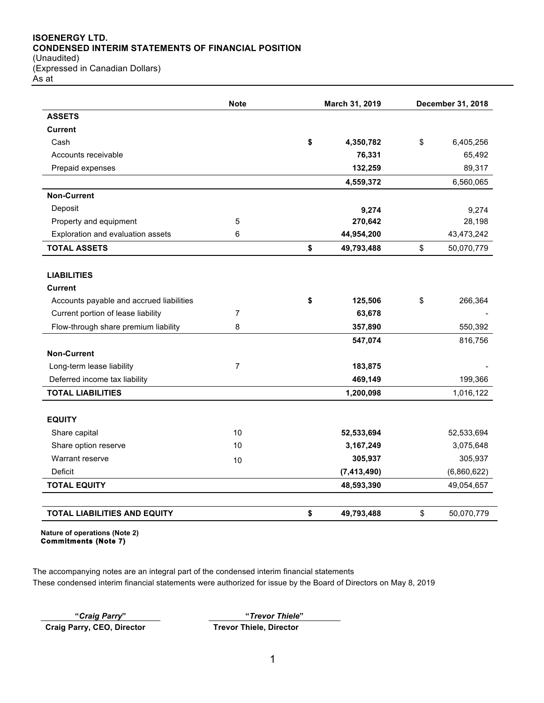# **ISOENERGY LTD. CONDENSED INTERIM STATEMENTS OF FINANCIAL POSITION**

(Unaudited) (Expressed in Canadian Dollars) As at

|                                          | <b>Note</b><br>March 31, 2019 |    | December 31, 2018 |                  |
|------------------------------------------|-------------------------------|----|-------------------|------------------|
| <b>ASSETS</b>                            |                               |    |                   |                  |
| <b>Current</b>                           |                               |    |                   |                  |
| Cash                                     |                               | \$ | 4,350,782         | \$<br>6,405,256  |
| Accounts receivable                      |                               |    | 76,331            | 65,492           |
| Prepaid expenses                         |                               |    | 132,259           | 89,317           |
|                                          |                               |    | 4,559,372         | 6,560,065        |
| <b>Non-Current</b>                       |                               |    |                   |                  |
| Deposit                                  |                               |    | 9,274             | 9,274            |
| Property and equipment                   | 5                             |    | 270,642           | 28,198           |
| Exploration and evaluation assets        | 6                             |    | 44,954,200        | 43,473,242       |
| <b>TOTAL ASSETS</b>                      |                               | \$ | 49,793,488        | \$<br>50,070,779 |
|                                          |                               |    |                   |                  |
| <b>LIABILITIES</b>                       |                               |    |                   |                  |
| <b>Current</b>                           |                               |    |                   |                  |
| Accounts payable and accrued liabilities |                               | \$ | 125,506           | \$<br>266,364    |
| Current portion of lease liability       | 7                             |    | 63,678            |                  |
| Flow-through share premium liability     | 8                             |    | 357,890           | 550,392          |
|                                          |                               |    | 547,074           | 816,756          |
| <b>Non-Current</b>                       |                               |    |                   |                  |
| Long-term lease liability                | 7                             |    | 183,875           |                  |
| Deferred income tax liability            |                               |    | 469,149           | 199,366          |
| <b>TOTAL LIABILITIES</b>                 |                               |    | 1,200,098         | 1,016,122        |
|                                          |                               |    |                   |                  |
| <b>EQUITY</b>                            |                               |    |                   |                  |
| Share capital                            | 10                            |    | 52,533,694        | 52,533,694       |
| Share option reserve                     | 10                            |    | 3,167,249         | 3,075,648        |
| Warrant reserve                          | 10                            |    | 305,937           | 305,937          |
| Deficit                                  |                               |    | (7, 413, 490)     | (6,860,622)      |
| <b>TOTAL EQUITY</b>                      |                               |    | 48,593,390        | 49,054,657       |
|                                          |                               |    |                   |                  |
| <b>TOTAL LIABILITIES AND EQUITY</b>      |                               | \$ | 49,793,488        | \$<br>50,070,779 |

**Nature of operations (Note 2) Commitments (Note 7)** 

The accompanying notes are an integral part of the condensed interim financial statements These condensed interim financial statements were authorized for issue by the Board of Directors on May 8, 2019

**Craig Parry, CEO, Director Trevor Thiele, Director**

**"***Craig Parry***" "***Trevor Thiele***"**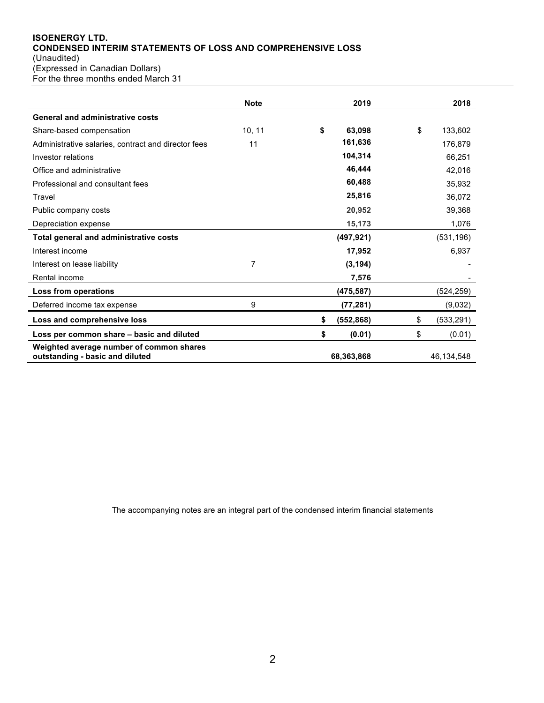# **ISOENERGY LTD. CONDENSED INTERIM STATEMENTS OF LOSS AND COMPREHENSIVE LOSS** (Unaudited)

(Expressed in Canadian Dollars)

For the three months ended March 31

|                                                                             | <b>Note</b> | 2019             |    | 2018       |
|-----------------------------------------------------------------------------|-------------|------------------|----|------------|
| <b>General and administrative costs</b>                                     |             |                  |    |            |
| Share-based compensation                                                    | 10, 11      | \$<br>63,098     | \$ | 133,602    |
| Administrative salaries, contract and director fees                         | 11          | 161,636          |    | 176,879    |
| Investor relations                                                          |             | 104,314          |    | 66,251     |
| Office and administrative                                                   |             | 46,444           |    | 42,016     |
| Professional and consultant fees                                            |             | 60,488           |    | 35,932     |
| Travel                                                                      |             | 25,816           |    | 36,072     |
| Public company costs                                                        |             | 20,952           |    | 39,368     |
| Depreciation expense                                                        |             | 15,173           |    | 1,076      |
| Total general and administrative costs                                      |             | (497, 921)       |    | (531, 196) |
| Interest income                                                             |             | 17,952           |    | 6,937      |
| Interest on lease liability                                                 | 7           | (3, 194)         |    |            |
| Rental income                                                               |             | 7,576            |    |            |
| Loss from operations                                                        |             | (475, 587)       |    | (524,259)  |
| Deferred income tax expense                                                 | 9           | (77, 281)        |    | (9,032)    |
| Loss and comprehensive loss                                                 |             | \$<br>(552, 868) | S  | (533, 291) |
| Loss per common share - basic and diluted                                   |             | \$<br>(0.01)     | \$ | (0.01)     |
| Weighted average number of common shares<br>outstanding - basic and diluted |             | 68,363,868       |    | 46,134,548 |

The accompanying notes are an integral part of the condensed interim financial statements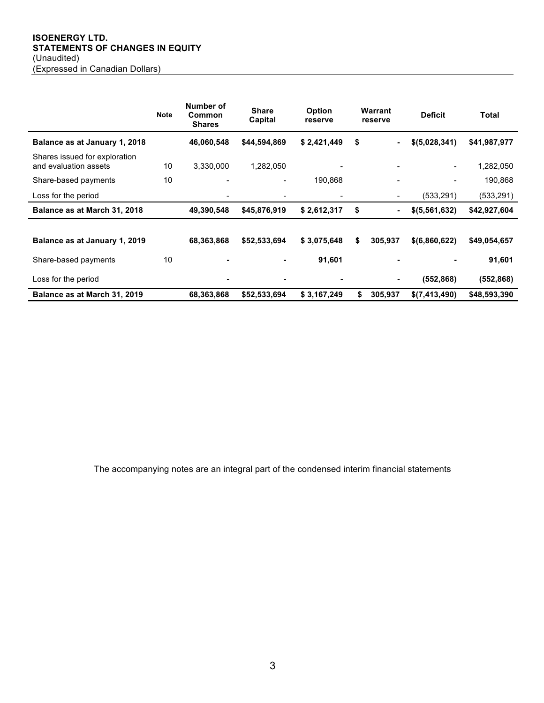## **ISOENERGY LTD. STATEMENTS OF CHANGES IN EQUITY** (Unaudited) (Expressed in Canadian Dollars)

|                                                        | <b>Note</b> | Number of<br>Common<br><b>Shares</b> | <b>Share</b><br>Capital  | <b>Option</b><br>reserve | Warrant<br>reserve   | <b>Deficit</b>           | Total        |
|--------------------------------------------------------|-------------|--------------------------------------|--------------------------|--------------------------|----------------------|--------------------------|--------------|
| Balance as at January 1, 2018                          |             | 46,060,548                           | \$44,594,869             | \$2,421,449              | \$<br>-              | \$(5,028,341)            | \$41,987,977 |
| Shares issued for exploration<br>and evaluation assets | 10          | 3,330,000                            | 1,282,050                |                          |                      | $\overline{\phantom{a}}$ | 1,282,050    |
| Share-based payments                                   | 10          | $\blacksquare$                       | $\overline{\phantom{a}}$ | 190,868                  |                      | $\blacksquare$           | 190,868      |
| Loss for the period                                    |             | $\qquad \qquad$                      | $\qquad \qquad$          |                          | $\blacksquare$       | (533, 291)               | (533, 291)   |
| Balance as at March 31, 2018                           |             | 49,390,548                           | \$45,876,919             | \$2,612,317              | \$<br>$\blacksquare$ | \$ (5, 561, 632)         | \$42,927,604 |
| Balance as at January 1, 2019                          |             | 68,363,868                           | \$52,533,694             | \$3,075,648              | \$<br>305,937        | \$ (6,860,622)           | \$49,054,657 |
| Share-based payments                                   | 10          | ٠                                    | ۰                        | 91,601                   | $\blacksquare$       |                          | 91,601       |
| Loss for the period                                    |             | ٠                                    | $\blacksquare$           |                          | $\blacksquare$       | (552, 868)               | (552, 868)   |
| Balance as at March 31, 2019                           |             | 68,363,868                           | \$52,533,694             | \$3,167,249              | \$<br>305,937        | \$(7,413,490)            | \$48,593,390 |

The accompanying notes are an integral part of the condensed interim financial statements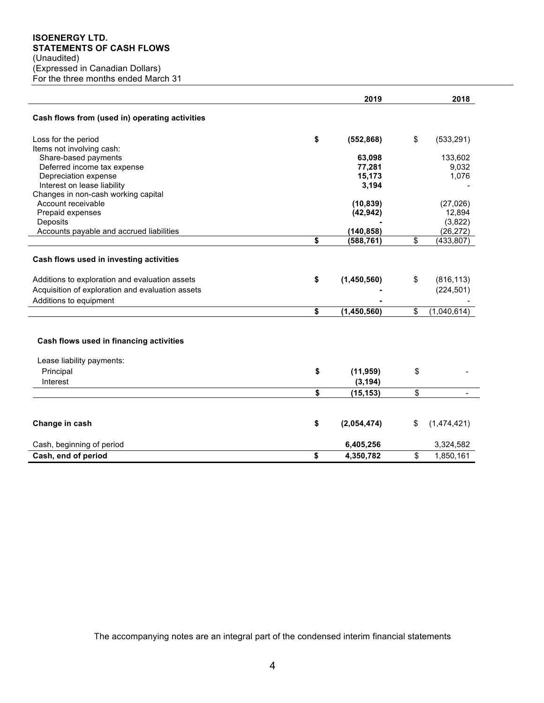|                                                     | 2019              | 2018              |
|-----------------------------------------------------|-------------------|-------------------|
| Cash flows from (used in) operating activities      |                   |                   |
| Loss for the period                                 | \$<br>(552, 868)  | \$<br>(533, 291)  |
| Items not involving cash:                           |                   |                   |
| Share-based payments                                | 63,098            | 133,602           |
| Deferred income tax expense                         | 77,281            | 9,032             |
| Depreciation expense<br>Interest on lease liability | 15,173<br>3,194   | 1,076             |
| Changes in non-cash working capital                 |                   |                   |
| Account receivable                                  | (10, 839)         | (27, 026)         |
| Prepaid expenses                                    | (42, 942)         | 12,894            |
| Deposits                                            |                   | (3,822)           |
| Accounts payable and accrued liabilities            | (140, 858)        | (26, 272)         |
|                                                     | \$<br>(588, 761)  | \$<br>(433, 807)  |
|                                                     |                   |                   |
| Cash flows used in investing activities             |                   |                   |
| Additions to exploration and evaluation assets      | \$<br>(1,450,560) | \$<br>(816, 113)  |
| Acquisition of exploration and evaluation assets    |                   | (224, 501)        |
| Additions to equipment                              |                   |                   |
|                                                     | \$<br>(1,450,560) | \$<br>(1,040,614) |
|                                                     |                   |                   |
| Cash flows used in financing activities             |                   |                   |
| Lease liability payments:                           |                   |                   |
| Principal                                           | \$<br>(11, 959)   | \$                |
| Interest                                            | (3, 194)          |                   |
|                                                     | \$<br>(15, 153)   | \$                |
|                                                     |                   |                   |
| Change in cash                                      | \$<br>(2,054,474) | \$<br>(1,474,421) |
| Cash, beginning of period                           | 6,405,256         | 3,324,582         |
| Cash, end of period                                 | \$<br>4,350,782   | \$<br>1,850,161   |

The accompanying notes are an integral part of the condensed interim financial statements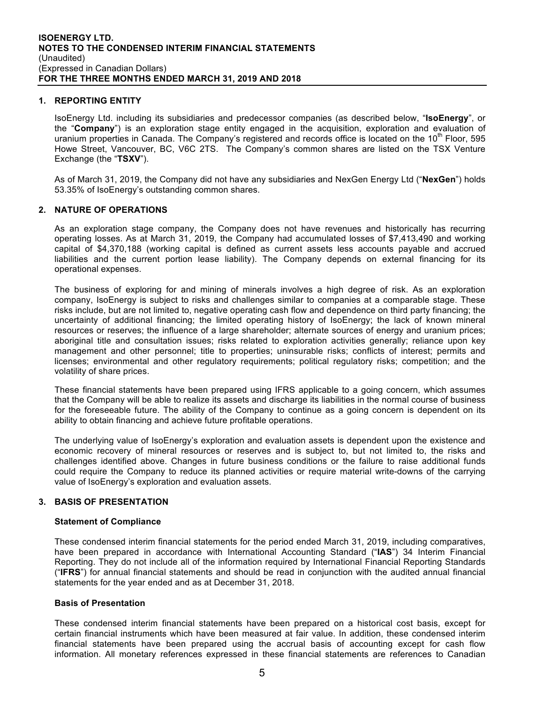## **1. REPORTING ENTITY**

IsoEnergy Ltd. including its subsidiaries and predecessor companies (as described below, "**IsoEnergy**", or the "**Company**") is an exploration stage entity engaged in the acquisition, exploration and evaluation of uranium properties in Canada. The Company's registered and records office is located on the 10<sup>th</sup> Floor, 595 Howe Street, Vancouver, BC, V6C 2TS. The Company's common shares are listed on the TSX Venture Exchange (the "**TSXV**").

As of March 31, 2019, the Company did not have any subsidiaries and NexGen Energy Ltd ("**NexGen**") holds 53.35% of IsoEnergy's outstanding common shares.

## **2. NATURE OF OPERATIONS**

As an exploration stage company, the Company does not have revenues and historically has recurring operating losses. As at March 31, 2019, the Company had accumulated losses of \$7,413,490 and working capital of \$4,370,188 (working capital is defined as current assets less accounts payable and accrued liabilities and the current portion lease liability). The Company depends on external financing for its operational expenses.

The business of exploring for and mining of minerals involves a high degree of risk. As an exploration company, IsoEnergy is subject to risks and challenges similar to companies at a comparable stage. These risks include, but are not limited to, negative operating cash flow and dependence on third party financing; the uncertainty of additional financing; the limited operating history of IsoEnergy; the lack of known mineral resources or reserves; the influence of a large shareholder; alternate sources of energy and uranium prices; aboriginal title and consultation issues; risks related to exploration activities generally; reliance upon key management and other personnel; title to properties; uninsurable risks; conflicts of interest; permits and licenses; environmental and other regulatory requirements; political regulatory risks; competition; and the volatility of share prices.

These financial statements have been prepared using IFRS applicable to a going concern, which assumes that the Company will be able to realize its assets and discharge its liabilities in the normal course of business for the foreseeable future. The ability of the Company to continue as a going concern is dependent on its ability to obtain financing and achieve future profitable operations.

The underlying value of IsoEnergy's exploration and evaluation assets is dependent upon the existence and economic recovery of mineral resources or reserves and is subject to, but not limited to, the risks and challenges identified above. Changes in future business conditions or the failure to raise additional funds could require the Company to reduce its planned activities or require material write-downs of the carrying value of IsoEnergy's exploration and evaluation assets.

## **3. BASIS OF PRESENTATION**

## **Statement of Compliance**

These condensed interim financial statements for the period ended March 31, 2019, including comparatives, have been prepared in accordance with International Accounting Standard ("**IAS**") 34 Interim Financial Reporting. They do not include all of the information required by International Financial Reporting Standards ("**IFRS**") for annual financial statements and should be read in conjunction with the audited annual financial statements for the year ended and as at December 31, 2018.

## **Basis of Presentation**

These condensed interim financial statements have been prepared on a historical cost basis, except for certain financial instruments which have been measured at fair value. In addition, these condensed interim financial statements have been prepared using the accrual basis of accounting except for cash flow information. All monetary references expressed in these financial statements are references to Canadian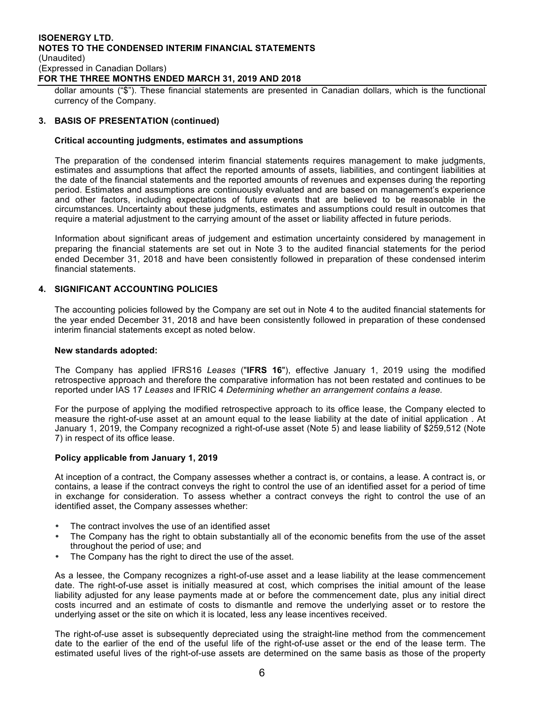#### **ISOENERGY LTD. NOTES TO THE CONDENSED INTERIM FINANCIAL STATEMENTS** (Unaudited) (Expressed in Canadian Dollars) **FOR THE THREE MONTHS ENDED MARCH 31, 2019 AND 2018**

dollar amounts ("\$"). These financial statements are presented in Canadian dollars, which is the functional currency of the Company.

#### **3. BASIS OF PRESENTATION (continued)**

#### **Critical accounting judgments, estimates and assumptions**

The preparation of the condensed interim financial statements requires management to make judgments, estimates and assumptions that affect the reported amounts of assets, liabilities, and contingent liabilities at the date of the financial statements and the reported amounts of revenues and expenses during the reporting period. Estimates and assumptions are continuously evaluated and are based on management's experience and other factors, including expectations of future events that are believed to be reasonable in the circumstances. Uncertainty about these judgments, estimates and assumptions could result in outcomes that require a material adjustment to the carrying amount of the asset or liability affected in future periods.

Information about significant areas of judgement and estimation uncertainty considered by management in preparing the financial statements are set out in Note 3 to the audited financial statements for the period ended December 31, 2018 and have been consistently followed in preparation of these condensed interim financial statements.

## **4. SIGNIFICANT ACCOUNTING POLICIES**

The accounting policies followed by the Company are set out in Note 4 to the audited financial statements for the year ended December 31, 2018 and have been consistently followed in preparation of these condensed interim financial statements except as noted below.

#### **New standards adopted:**

The Company has applied IFRS16 *Leases* ("**IFRS 16**"), effective January 1, 2019 using the modified retrospective approach and therefore the comparative information has not been restated and continues to be reported under IAS 17 *Leases* and IFRIC 4 *Determining whether an arrangement contains a lease.*

For the purpose of applying the modified retrospective approach to its office lease, the Company elected to measure the right-of-use asset at an amount equal to the lease liability at the date of initial application . At January 1, 2019, the Company recognized a right-of-use asset (Note 5) and lease liability of \$259,512 (Note 7) in respect of its office lease.

#### **Policy applicable from January 1, 2019**

At inception of a contract, the Company assesses whether a contract is, or contains, a lease. A contract is, or contains, a lease if the contract conveys the right to control the use of an identified asset for a period of time in exchange for consideration. To assess whether a contract conveys the right to control the use of an identified asset, the Company assesses whether:

- The contract involves the use of an identified asset
- The Company has the right to obtain substantially all of the economic benefits from the use of the asset throughout the period of use; and
- The Company has the right to direct the use of the asset.

As a lessee, the Company recognizes a right-of-use asset and a lease liability at the lease commencement date. The right-of-use asset is initially measured at cost, which comprises the initial amount of the lease liability adjusted for any lease payments made at or before the commencement date, plus any initial direct costs incurred and an estimate of costs to dismantle and remove the underlying asset or to restore the underlying asset or the site on which it is located, less any lease incentives received.

The right-of-use asset is subsequently depreciated using the straight-line method from the commencement date to the earlier of the end of the useful life of the right-of-use asset or the end of the lease term. The estimated useful lives of the right-of-use assets are determined on the same basis as those of the property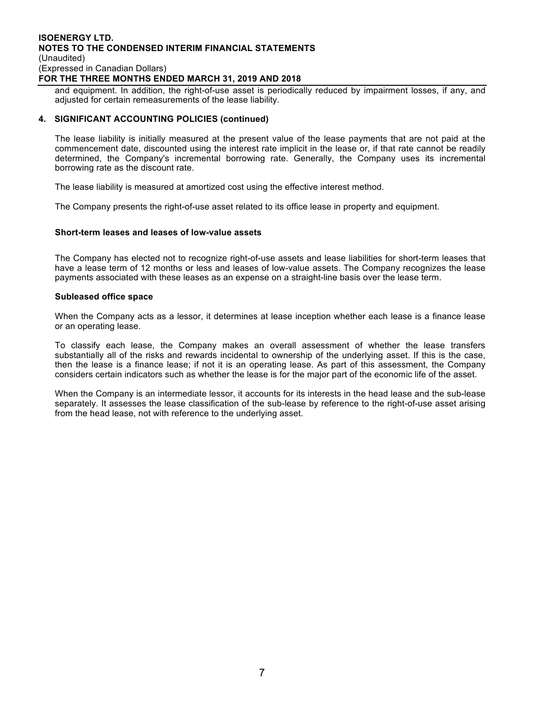#### **ISOENERGY LTD. NOTES TO THE CONDENSED INTERIM FINANCIAL STATEMENTS** (Unaudited) (Expressed in Canadian Dollars) **FOR THE THREE MONTHS ENDED MARCH 31, 2019 AND 2018**

and equipment. In addition, the right-of-use asset is periodically reduced by impairment losses, if any, and adjusted for certain remeasurements of the lease liability.

#### **4. SIGNIFICANT ACCOUNTING POLICIES (continued)**

The lease liability is initially measured at the present value of the lease payments that are not paid at the commencement date, discounted using the interest rate implicit in the lease or, if that rate cannot be readily determined, the Company's incremental borrowing rate. Generally, the Company uses its incremental borrowing rate as the discount rate.

The lease liability is measured at amortized cost using the effective interest method.

The Company presents the right-of-use asset related to its office lease in property and equipment.

#### **Short-term leases and leases of low-value assets**

The Company has elected not to recognize right-of-use assets and lease liabilities for short-term leases that have a lease term of 12 months or less and leases of low-value assets. The Company recognizes the lease payments associated with these leases as an expense on a straight-line basis over the lease term.

#### **Subleased office space**

When the Company acts as a lessor, it determines at lease inception whether each lease is a finance lease or an operating lease.

To classify each lease, the Company makes an overall assessment of whether the lease transfers substantially all of the risks and rewards incidental to ownership of the underlying asset. If this is the case, then the lease is a finance lease; if not it is an operating lease. As part of this assessment, the Company considers certain indicators such as whether the lease is for the major part of the economic life of the asset.

When the Company is an intermediate lessor, it accounts for its interests in the head lease and the sub-lease separately. It assesses the lease classification of the sub-lease by reference to the right-of-use asset arising from the head lease, not with reference to the underlying asset.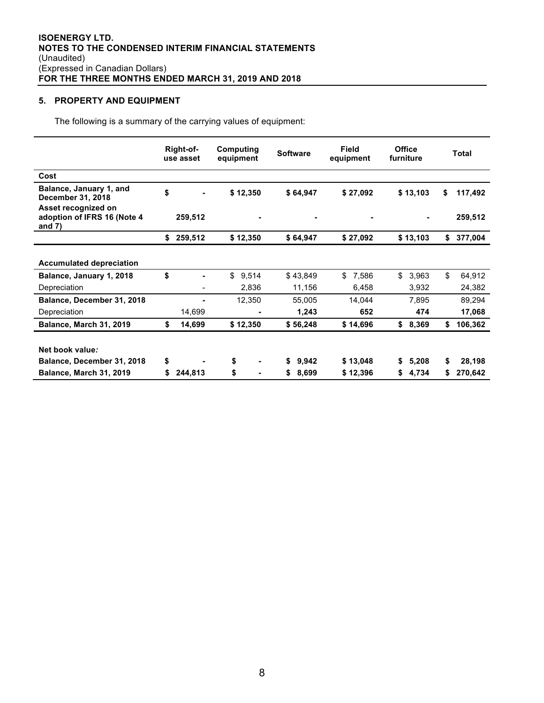# **5. PROPERTY AND EQUIPMENT**

The following is a summary of the carrying values of equipment:

|                                                                |    | Right-of-<br>use asset | Computing<br>equipment | <b>Software</b> | <b>Field</b><br>equipment | <b>Office</b><br>furniture | <b>Total</b>  |
|----------------------------------------------------------------|----|------------------------|------------------------|-----------------|---------------------------|----------------------------|---------------|
| Cost                                                           |    |                        |                        |                 |                           |                            |               |
| Balance, January 1, and<br>December 31, 2018                   | \$ |                        | \$12,350               | \$64,947        | \$27,092                  | \$13,103                   | \$<br>117,492 |
| Asset recognized on<br>adoption of IFRS 16 (Note 4<br>and $7)$ |    | 259,512                | $\blacksquare$         |                 |                           | ٠                          | 259,512       |
|                                                                | \$ | 259,512                | \$12,350               | \$64,947        | \$27,092                  | \$13,103                   | \$<br>377,004 |
| <b>Accumulated depreciation</b>                                |    |                        |                        |                 |                           |                            |               |
| Balance, January 1, 2018                                       | \$ |                        | \$<br>9,514            | \$43,849        | \$<br>7,586               | \$<br>3,963                | \$<br>64,912  |
| Depreciation                                                   |    |                        | 2,836                  | 11,156          | 6,458                     | 3,932                      | 24,382        |
| Balance, December 31, 2018                                     |    |                        | 12,350                 | 55,005          | 14,044                    | 7,895                      | 89,294        |
| Depreciation                                                   |    | 14,699                 | ۰                      | 1,243           | 652                       | 474                        | 17,068        |
| Balance, March 31, 2019                                        | \$ | 14,699                 | \$12,350               | \$56,248        | \$14,696                  | \$<br>8,369                | \$<br>106,362 |
| Net book value:                                                |    |                        |                        |                 |                           |                            |               |
| Balance, December 31, 2018                                     | \$ |                        | \$<br>۰                | \$<br>9,942     | \$13,048                  | \$<br>5,208                | \$<br>28,198  |
| <b>Balance, March 31, 2019</b>                                 | S  | 244,813                | \$<br>$\blacksquare$   | \$<br>8,699     | \$12,396                  | \$<br>4,734                | \$<br>270,642 |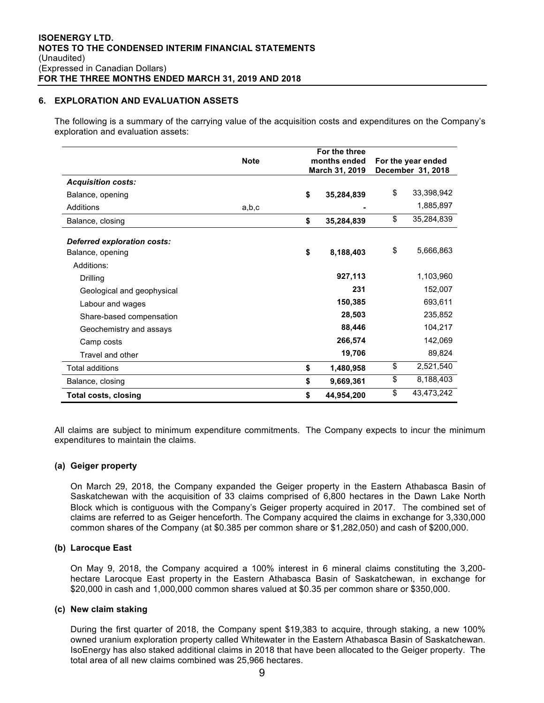## **6. EXPLORATION AND EVALUATION ASSETS**

The following is a summary of the carrying value of the acquisition costs and expenditures on the Company's exploration and evaluation assets:

|                             | <b>Note</b> | For the three<br>months ended<br>March 31, 2019 |    | For the year ended<br>December 31, 2018 |
|-----------------------------|-------------|-------------------------------------------------|----|-----------------------------------------|
| <b>Acquisition costs:</b>   |             |                                                 |    |                                         |
| Balance, opening            |             | \$<br>35,284,839                                | \$ | 33,398,942                              |
| Additions                   | a,b,c       |                                                 |    | 1,885,897                               |
| Balance, closing            |             | \$<br>35,284,839                                | \$ | 35,284,839                              |
| Deferred exploration costs: |             |                                                 |    |                                         |
| Balance, opening            |             | \$<br>8,188,403                                 | \$ | 5,666,863                               |
| Additions:                  |             |                                                 |    |                                         |
| Drilling                    |             | 927,113                                         |    | 1,103,960                               |
| Geological and geophysical  |             | 231                                             |    | 152,007                                 |
| Labour and wages            |             | 150,385                                         |    | 693,611                                 |
| Share-based compensation    |             | 28,503                                          |    | 235,852                                 |
| Geochemistry and assays     |             | 88,446                                          |    | 104,217                                 |
| Camp costs                  |             | 266,574                                         |    | 142,069                                 |
| Travel and other            |             | 19,706                                          |    | 89,824                                  |
| <b>Total additions</b>      |             | \$<br>1,480,958                                 | \$ | 2,521,540                               |
| Balance, closing            |             | \$<br>9,669,361                                 | \$ | 8,188,403                               |
| Total costs, closing        |             | \$<br>44,954,200                                | \$ | 43,473,242                              |

All claims are subject to minimum expenditure commitments. The Company expects to incur the minimum expenditures to maintain the claims.

## **(a) Geiger property**

On March 29, 2018, the Company expanded the Geiger property in the Eastern Athabasca Basin of Saskatchewan with the acquisition of 33 claims comprised of 6,800 hectares in the Dawn Lake North Block which is contiguous with the Company's Geiger property acquired in 2017. The combined set of claims are referred to as Geiger henceforth. The Company acquired the claims in exchange for 3,330,000 common shares of the Company (at \$0.385 per common share or \$1,282,050) and cash of \$200,000.

## **(b) Larocque East**

On May 9, 2018, the Company acquired a 100% interest in 6 mineral claims constituting the 3,200 hectare Larocque East property in the Eastern Athabasca Basin of Saskatchewan, in exchange for \$20,000 in cash and 1,000,000 common shares valued at \$0.35 per common share or \$350,000.

#### **(c) New claim staking**

During the first quarter of 2018, the Company spent \$19,383 to acquire, through staking, a new 100% owned uranium exploration property called Whitewater in the Eastern Athabasca Basin of Saskatchewan. IsoEnergy has also staked additional claims in 2018 that have been allocated to the Geiger property. The total area of all new claims combined was 25,966 hectares.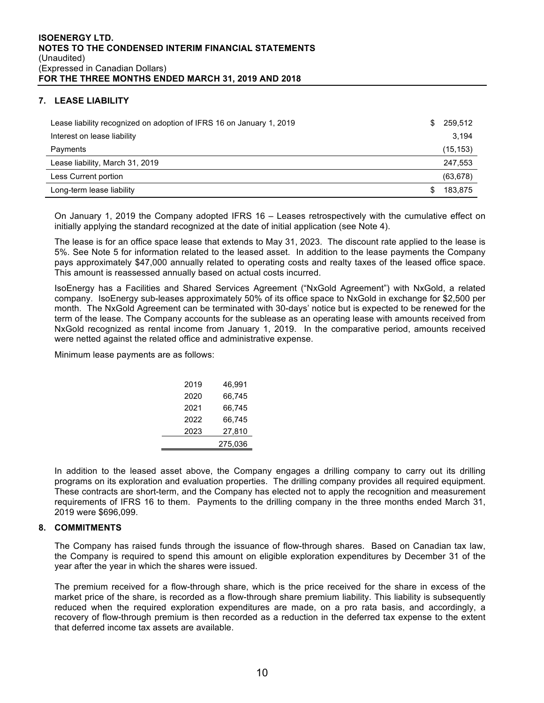# **7. LEASE LIABILITY**

| Lease liability recognized on adoption of IFRS 16 on January 1, 2019 | S. | 259,512   |
|----------------------------------------------------------------------|----|-----------|
| Interest on lease liability                                          |    | 3,194     |
| Payments                                                             |    | (15, 153) |
| Lease liability, March 31, 2019                                      |    | 247,553   |
| Less Current portion                                                 |    | (63, 678) |
| Long-term lease liability                                            |    | 183,875   |

On January 1, 2019 the Company adopted IFRS 16 – Leases retrospectively with the cumulative effect on initially applying the standard recognized at the date of initial application (see Note 4).

The lease is for an office space lease that extends to May 31, 2023. The discount rate applied to the lease is 5%. See Note 5 for information related to the leased asset. In addition to the lease payments the Company pays approximately \$47,000 annually related to operating costs and realty taxes of the leased office space. This amount is reassessed annually based on actual costs incurred.

IsoEnergy has a Facilities and Shared Services Agreement ("NxGold Agreement") with NxGold, a related company. IsoEnergy sub-leases approximately 50% of its office space to NxGold in exchange for \$2,500 per month. The NxGold Agreement can be terminated with 30-days' notice but is expected to be renewed for the term of the lease. The Company accounts for the sublease as an operating lease with amounts received from NxGold recognized as rental income from January 1, 2019. In the comparative period, amounts received were netted against the related office and administrative expense.

Minimum lease payments are as follows:

| 2019 | 46.991  |
|------|---------|
| 2020 | 66.745  |
| 2021 | 66.745  |
| 2022 | 66,745  |
| 2023 | 27,810  |
|      | 275,036 |

In addition to the leased asset above, the Company engages a drilling company to carry out its drilling programs on its exploration and evaluation properties. The drilling company provides all required equipment. These contracts are short-term, and the Company has elected not to apply the recognition and measurement requirements of IFRS 16 to them. Payments to the drilling company in the three months ended March 31, 2019 were \$696,099.

## **8. COMMITMENTS**

The Company has raised funds through the issuance of flow-through shares. Based on Canadian tax law, the Company is required to spend this amount on eligible exploration expenditures by December 31 of the year after the year in which the shares were issued.

The premium received for a flow-through share, which is the price received for the share in excess of the market price of the share, is recorded as a flow-through share premium liability. This liability is subsequently reduced when the required exploration expenditures are made, on a pro rata basis, and accordingly, a recovery of flow-through premium is then recorded as a reduction in the deferred tax expense to the extent that deferred income tax assets are available.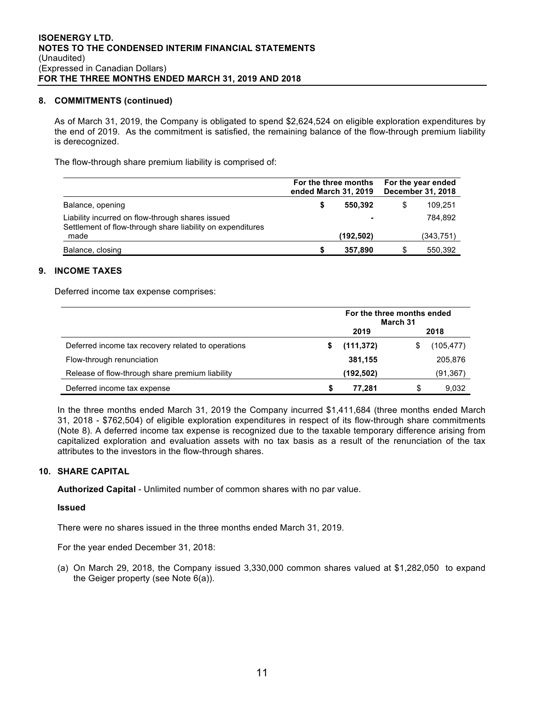## **8. COMMITMENTS (continued)**

As of March 31, 2019, the Company is obligated to spend \$2,624,524 on eligible exploration expenditures by the end of 2019. As the commitment is satisfied, the remaining balance of the flow-through premium liability is derecognized.

The flow-through share premium liability is comprised of:

|                                                                                                                | For the three months<br>ended March 31, 2019 | For the year ended<br>December 31, 2018 |           |  |
|----------------------------------------------------------------------------------------------------------------|----------------------------------------------|-----------------------------------------|-----------|--|
| Balance, opening                                                                                               | 550.392                                      | S                                       | 109.251   |  |
| Liability incurred on flow-through shares issued<br>Settlement of flow-through share liability on expenditures |                                              |                                         | 784.892   |  |
| made                                                                                                           | (192,502)                                    |                                         | (343.751) |  |
| Balance, closing                                                                                               | 357,890                                      |                                         | 550,392   |  |

# **9. INCOME TAXES**

Deferred income tax expense comprises:

|                                                    | For the three months ended<br>March 31 |            |  |           |  |
|----------------------------------------------------|----------------------------------------|------------|--|-----------|--|
|                                                    |                                        | 2019       |  | 2018      |  |
| Deferred income tax recovery related to operations |                                        | (111, 372) |  | (105,477) |  |
| Flow-through renunciation                          |                                        | 381.155    |  | 205.876   |  |
| Release of flow-through share premium liability    |                                        | (192,502)  |  | (91, 367) |  |
| Deferred income tax expense                        |                                        | 77.281     |  | 9.032     |  |

In the three months ended March 31, 2019 the Company incurred \$1,411,684 (three months ended March 31, 2018 - \$762,504) of eligible exploration expenditures in respect of its flow-through share commitments (Note 8). A deferred income tax expense is recognized due to the taxable temporary difference arising from capitalized exploration and evaluation assets with no tax basis as a result of the renunciation of the tax attributes to the investors in the flow-through shares.

## **10. SHARE CAPITAL**

**Authorized Capital** - Unlimited number of common shares with no par value.

## **Issued**

There were no shares issued in the three months ended March 31, 2019.

For the year ended December 31, 2018:

(a) On March 29, 2018, the Company issued 3,330,000 common shares valued at \$1,282,050 to expand the Geiger property (see Note 6(a)).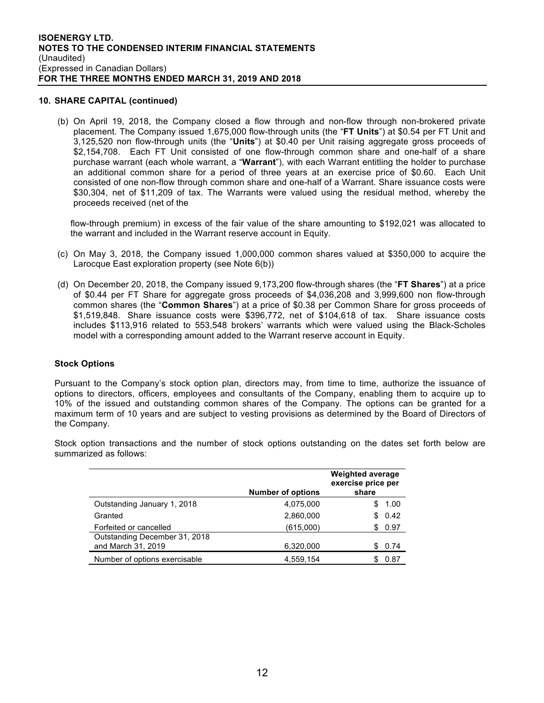#### **10. SHARE CAPITAL (continued)**

(b) On April 19, 2018, the Company closed a flow through and non-flow through non-brokered private placement. The Company issued 1,675,000 flow-through units (the "**FT Units**") at \$0.54 per FT Unit and 3,125,520 non flow-through units (the "**Units**") at \$0.40 per Unit raising aggregate gross proceeds of \$2,154,708. Each FT Unit consisted of one flow-through common share and one-half of a share purchase warrant (each whole warrant, a "**Warrant**"), with each Warrant entitling the holder to purchase an additional common share for a period of three years at an exercise price of \$0.60. Each Unit consisted of one non-flow through common share and one-half of a Warrant. Share issuance costs were \$30,304, net of \$11,209 of tax. The Warrants were valued using the residual method, whereby the proceeds received (net of the

flow-through premium) in excess of the fair value of the share amounting to \$192,021 was allocated to the warrant and included in the Warrant reserve account in Equity.

- (c) On May 3, 2018, the Company issued 1,000,000 common shares valued at \$350,000 to acquire the Larocque East exploration property (see Note 6(b))
- (d) On December 20, 2018, the Company issued 9,173,200 flow-through shares (the "**FT Shares**") at a price of \$0.44 per FT Share for aggregate gross proceeds of \$4,036,208 and 3,999,600 non flow-through common shares (the "**Common Shares**") at a price of \$0.38 per Common Share for gross proceeds of \$1,519,848. Share issuance costs were \$396,772, net of \$104,618 of tax. Share issuance costs includes \$113,916 related to 553,548 brokers' warrants which were valued using the Black-Scholes model with a corresponding amount added to the Warrant reserve account in Equity.

## **Stock Options**

Pursuant to the Company's stock option plan, directors may, from time to time, authorize the issuance of options to directors, officers, employees and consultants of the Company, enabling them to acquire up to 10% of the issued and outstanding common shares of the Company. The options can be granted for a maximum term of 10 years and are subject to vesting provisions as determined by the Board of Directors of the Company.

Stock option transactions and the number of stock options outstanding on the dates set forth below are summarized as follows:

|                                                     | <b>Number of options</b> | <b>Weighted average</b><br>exercise price per<br>share |
|-----------------------------------------------------|--------------------------|--------------------------------------------------------|
| Outstanding January 1, 2018                         | 4,075,000                | 1.00<br>S.                                             |
| Granted                                             | 2,860,000                | 0.42<br>S.                                             |
| Forfeited or cancelled                              | (615,000)                | 0.97<br>S                                              |
| Outstanding December 31, 2018<br>and March 31, 2019 | 6,320,000                | 0.74<br>S.                                             |
| Number of options exercisable                       | 4,559,154                | 0.87                                                   |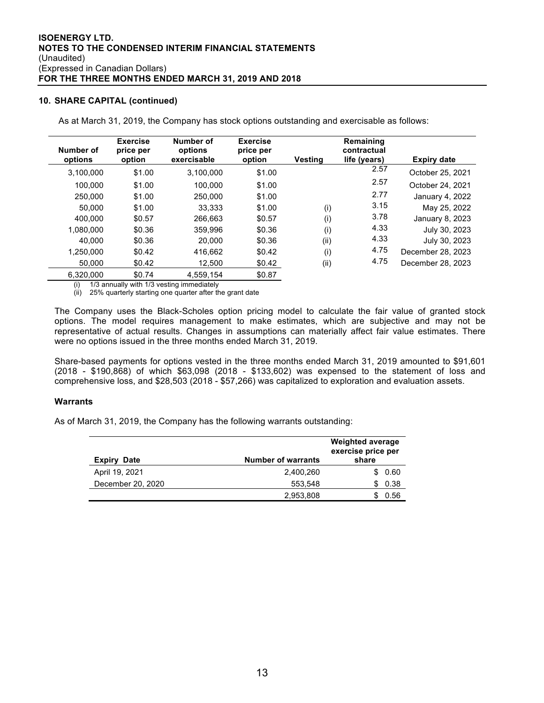#### **10. SHARE CAPITAL (continued)**

As at March 31, 2019, the Company has stock options outstanding and exercisable as follows:

| Number of<br>options | <b>Exercise</b><br>price per<br>option | Number of<br>options<br>exercisable | <b>Exercise</b><br>price per<br>option | Vestina | Remaining<br>contractual<br>life (years) | Expiry date       |
|----------------------|----------------------------------------|-------------------------------------|----------------------------------------|---------|------------------------------------------|-------------------|
| 3,100,000            | \$1.00                                 | 3.100.000                           | \$1.00                                 |         | 2.57                                     | October 25, 2021  |
| 100.000              | \$1.00                                 | 100.000                             | \$1.00                                 |         | 2.57                                     | October 24, 2021  |
| 250,000              | \$1.00                                 | 250.000                             | \$1.00                                 |         | 2.77                                     | January 4, 2022   |
| 50,000               | \$1.00                                 | 33.333                              | \$1.00                                 | (i)     | 3.15                                     | May 25, 2022      |
| 400.000              | \$0.57                                 | 266.663                             | \$0.57                                 | (i)     | 3.78                                     | January 8, 2023   |
| 1.080.000            | \$0.36                                 | 359.996                             | \$0.36                                 | (i)     | 4.33                                     | July 30, 2023     |
| 40.000               | \$0.36                                 | 20,000                              | \$0.36                                 | (ii)    | 4.33                                     | July 30, 2023     |
| 1.250.000            | \$0.42                                 | 416,662                             | \$0.42                                 | (i)     | 4.75                                     | December 28, 2023 |
| 50.000               | \$0.42                                 | 12.500                              | \$0.42                                 | (ii)    | 4.75                                     | December 28, 2023 |
| 6.320.000            | \$0.74                                 | 4.559.154                           | \$0.87                                 |         |                                          |                   |

(i) 1/3 annually with 1/3 vesting immediately

(ii) 25% quarterly starting one quarter after the grant date

The Company uses the Black-Scholes option pricing model to calculate the fair value of granted stock options. The model requires management to make estimates, which are subjective and may not be representative of actual results. Changes in assumptions can materially affect fair value estimates. There were no options issued in the three months ended March 31, 2019.

Share-based payments for options vested in the three months ended March 31, 2019 amounted to \$91,601 (2018 - \$190,868) of which \$63,098 (2018 - \$133,602) was expensed to the statement of loss and comprehensive loss, and \$28,503 (2018 - \$57,266) was capitalized to exploration and evaluation assets.

#### **Warrants**

As of March 31, 2019, the Company has the following warrants outstanding:

| <b>Expiry Date</b> | <b>Number of warrants</b> | <b>Weighted average</b><br>exercise price per<br>share |  |
|--------------------|---------------------------|--------------------------------------------------------|--|
| April 19, 2021     | 2,400,260                 | \$0.60                                                 |  |
| December 20, 2020  | 553.548                   | 0.38                                                   |  |
|                    | 2,953,808                 | 0.56                                                   |  |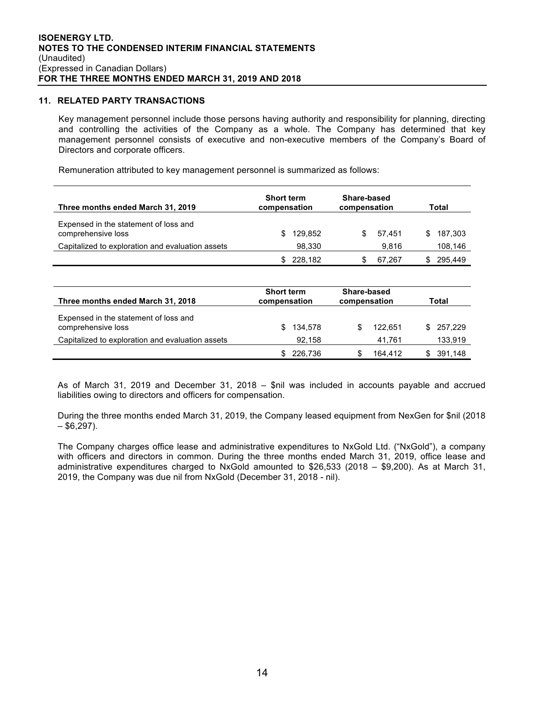#### **11. RELATED PARTY TRANSACTIONS**

Key management personnel include those persons having authority and responsibility for planning, directing and controlling the activities of the Company as a whole. The Company has determined that key management personnel consists of executive and non-executive members of the Company's Board of Directors and corporate officers.

Remuneration attributed to key management personnel is summarized as follows:

| Three months ended March 31, 2019                           | <b>Short term</b><br>compensation | Share-based<br>compensation | Total          |
|-------------------------------------------------------------|-----------------------------------|-----------------------------|----------------|
| Expensed in the statement of loss and<br>comprehensive loss | 129.852<br>SS.                    | 57.451<br>S.                | 187.303<br>SS. |
| Capitalized to exploration and evaluation assets            | 98,330                            | 9.816                       | 108,146        |
|                                                             | 228,182                           | 67.267                      | 295.449        |

| Three months ended March 31, 2018                           | <b>Short term</b><br>compensation | Share-based<br>compensation | Total      |
|-------------------------------------------------------------|-----------------------------------|-----------------------------|------------|
| Expensed in the statement of loss and<br>comprehensive loss | 134,578<br>SS.                    | 122.651                     | \$ 257.229 |
| Capitalized to exploration and evaluation assets            | 92,158                            | 41.761                      | 133,919    |
|                                                             | 226,736                           | 164.412                     | 391,148    |

As of March 31, 2019 and December 31, 2018 – \$nil was included in accounts payable and accrued liabilities owing to directors and officers for compensation.

During the three months ended March 31, 2019, the Company leased equipment from NexGen for \$nil (2018  $-$  \$6,297).

The Company charges office lease and administrative expenditures to NxGold Ltd. ("NxGold"), a company with officers and directors in common. During the three months ended March 31, 2019, office lease and administrative expenditures charged to NxGold amounted to \$26,533 (2018 – \$9,200). As at March 31, 2019, the Company was due nil from NxGold (December 31, 2018 - nil).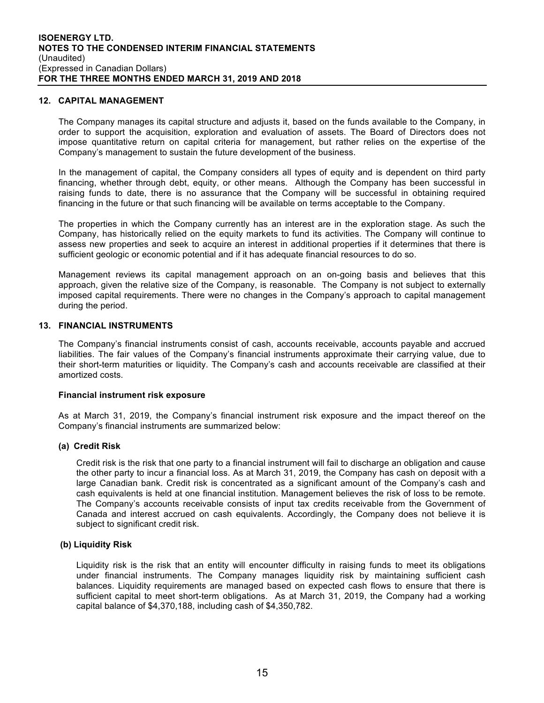#### **12. CAPITAL MANAGEMENT**

The Company manages its capital structure and adjusts it, based on the funds available to the Company, in order to support the acquisition, exploration and evaluation of assets. The Board of Directors does not impose quantitative return on capital criteria for management, but rather relies on the expertise of the Company's management to sustain the future development of the business.

In the management of capital, the Company considers all types of equity and is dependent on third party financing, whether through debt, equity, or other means. Although the Company has been successful in raising funds to date, there is no assurance that the Company will be successful in obtaining required financing in the future or that such financing will be available on terms acceptable to the Company.

The properties in which the Company currently has an interest are in the exploration stage. As such the Company, has historically relied on the equity markets to fund its activities. The Company will continue to assess new properties and seek to acquire an interest in additional properties if it determines that there is sufficient geologic or economic potential and if it has adequate financial resources to do so.

Management reviews its capital management approach on an on-going basis and believes that this approach, given the relative size of the Company, is reasonable. The Company is not subject to externally imposed capital requirements. There were no changes in the Company's approach to capital management during the period.

#### **13. FINANCIAL INSTRUMENTS**

The Company's financial instruments consist of cash, accounts receivable, accounts payable and accrued liabilities. The fair values of the Company's financial instruments approximate their carrying value, due to their short-term maturities or liquidity. The Company's cash and accounts receivable are classified at their amortized costs.

#### **Financial instrument risk exposure**

As at March 31, 2019, the Company's financial instrument risk exposure and the impact thereof on the Company's financial instruments are summarized below:

## **(a) Credit Risk**

Credit risk is the risk that one party to a financial instrument will fail to discharge an obligation and cause the other party to incur a financial loss. As at March 31, 2019, the Company has cash on deposit with a large Canadian bank. Credit risk is concentrated as a significant amount of the Company's cash and cash equivalents is held at one financial institution. Management believes the risk of loss to be remote. The Company's accounts receivable consists of input tax credits receivable from the Government of Canada and interest accrued on cash equivalents. Accordingly, the Company does not believe it is subject to significant credit risk.

## **(b) Liquidity Risk**

Liquidity risk is the risk that an entity will encounter difficulty in raising funds to meet its obligations under financial instruments. The Company manages liquidity risk by maintaining sufficient cash balances. Liquidity requirements are managed based on expected cash flows to ensure that there is sufficient capital to meet short-term obligations. As at March 31, 2019, the Company had a working capital balance of \$4,370,188, including cash of \$4,350,782.